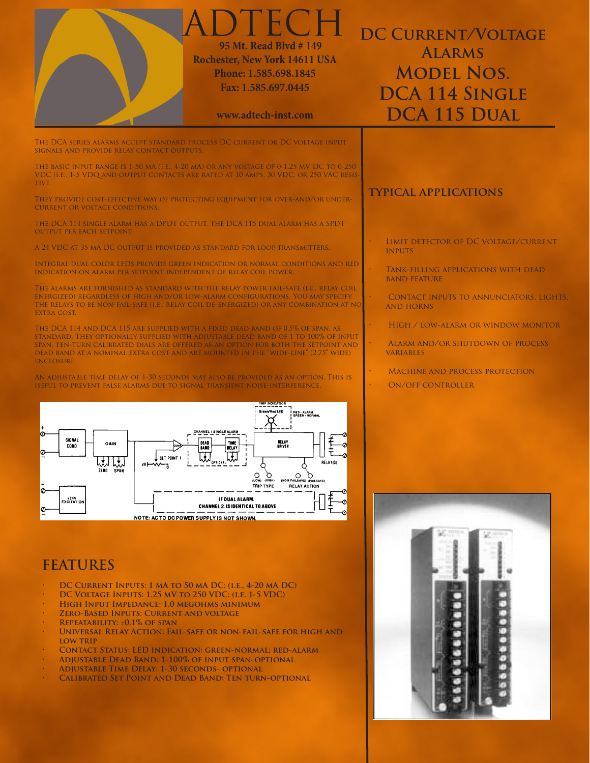| ADTECH<br>95 Mt. Read Blvd # 149<br><b>Rochester, New York 14611 USA</b><br>Phone: 1.585.698.1845<br>Fax: 1.585.697.0445<br>www.adtech-inst.com                                                                                                                                                                                                                                                                                                                                                                                                                                                                                                                                                                                                                                                                                                                                                                                                                                                                                                                                                                 | <b>DC CURRENT/VOLTAGE</b><br><b>ALARMS</b><br><b>MODEL NOS.</b><br>DCA 114 SINGLE<br>DCA 115 DUAL                                                                                                                                                                                                                                                                     |
|-----------------------------------------------------------------------------------------------------------------------------------------------------------------------------------------------------------------------------------------------------------------------------------------------------------------------------------------------------------------------------------------------------------------------------------------------------------------------------------------------------------------------------------------------------------------------------------------------------------------------------------------------------------------------------------------------------------------------------------------------------------------------------------------------------------------------------------------------------------------------------------------------------------------------------------------------------------------------------------------------------------------------------------------------------------------------------------------------------------------|-----------------------------------------------------------------------------------------------------------------------------------------------------------------------------------------------------------------------------------------------------------------------------------------------------------------------------------------------------------------------|
| The DCA series alarms accept standard process DC current or DC voltage input-<br>SIGNALS AND PROVIDE RELAY CONTACT OUTPUTS.<br>The basic input range is 1-50 mA (i.e., 4-20 mA) or any voltage of 0-1.25 mV DC to 0-250<br>VDC (I.E., 1-5 VDQ AND OUTPUT CONTACTS ARE RATED AT 10 AMPS, 30 VDC, OR 250 VAC RESIS-<br>TIVE.<br>They provide cost-effective way of protecting equipment for over-and/or under-<br><b>CURRENT OR VOLTAGE CONDITIONS.</b><br>The DCA 114 single alarm has a DPDT output. The DCA 115 dual alarm has a SPDT                                                                                                                                                                                                                                                                                                                                                                                                                                                                                                                                                                          | <b>TYPICAL APPLICATIONS</b>                                                                                                                                                                                                                                                                                                                                           |
| <b>OUTPUT PER EACH SETPOINT.</b><br>A 24 VDC AT 35 MA DC OUTPUT IS PROVIDED AS STANDARD FOR LOOP TRANSMITTERS.<br>INTEGRAL DUAL COLOR LEDS PROVIDE GREEN INDICATION OR NORMAL CONDITIONS AND RED<br>INDICATION ON ALARM PER SETPOINT INDEPENDENT OF RELAY COIL POWER.<br>The alarms are furnished as standard with the relay power fail-safe (i.e., relay coil<br>ENERGIZED) REGARDLESS OF HIGH AND/OR LOW-ALARM CONFIGURATIONS. YOU MAY SPECIFY<br>THE RELAYS TO BE NON-FAIL-SAFE (I.E., RELAY COIL DE-ENERGIZED) OR ANY COMBINATION AT NO<br><b>EXTRA COST.</b><br>The DCA 114 and DCA 115 are supplied with a fixed dead band of 0.5% of span, as<br>STANDARD. THEY OPTIONALLY SUPPLIED WITH ADJUSTABLE DEAD BAND OF 1 TO 100% OF INPUT<br>SPAN. TEN-TURN CALIBRATED DIALS ARE OFFERED AS AN OPTION FOR BOTH THE SETPOINT AND<br>DEAD BAND AT A NOMINAL EXTRA COST AND ARE MOUNTED IN THE "WIDE-LINE" (2.75" WIDE)<br><b>ENCLOSURE.</b><br>An adjustable time delay of 1-30 seconds may also be provided as an option. This is<br>ISEFUL TO PREVENT FALSE ALARMS DUE TO SIGNAL TRANSIENT NOISE-INTERFERENCE. | LIMIT DETECTOR OF DC VOLTAGE/CURRENT<br><b>INPUTS</b><br>TANK-FILLING APPLICATIONS WITH DEAD<br><b>BAND FEATURE</b><br>CONTACT INPUTS TO ANNUNCIATORS, LIGHTS,<br><b>AND HORNS</b><br>HIGH / LOW-ALARM OR WINDOW MONITOR<br>ALARM AND/OR SHUTDOWN OF PROCESS<br><b>VARIABLES</b><br>$\mathbf{r}$<br><b>MACHINE AND PROCESS PROTECTION</b><br><b>ON/OFF CONTROLLER</b> |
| <b>TRIP INDICATION</b><br>Green/Red LED<br><b>I RED - ALARM<br/>I GREEN - NORMAL</b><br>SIGNAL<br><b>RELAY</b><br>Driver<br>TIME<br>DEAD<br>GAIN<br>COND.<br>BAND<br>DELAY<br>SET POINT 1<br>RELAYIS<br>ZERO SPAN<br>О<br>$\circ$<br>O<br>(NON FAILSAVE) (FAILSAVE)<br>(LOW) (HIGH)<br>TRIP TYPE<br><b>RELAY ACTION</b><br>ΙØ<br>+24V<br>EXCITATION<br>IF DUAL ALARM.<br><b>CHANNEL 2. IS IDENTICAL TO ABOVE</b><br>NOTE: ACTO DC POWER SUPPLY IS NOT SHOWN.                                                                                                                                                                                                                                                                                                                                                                                                                                                                                                                                                                                                                                                    |                                                                                                                                                                                                                                                                                                                                                                       |

## **FEATURES**

- **• DC Current Inputs: 1 mA to 50 mA DC: (i.e., 4-20 mA DC)**
- **• DC Voltage Inputs: 1.25 mV to 250 VDC: (i.e. 1-5 VDC)**
- **• High Input Impedance: 1.0 megohms minimum**
- *ZERO-BASED INPUTS: CURRENT AND VOLTAGE*
- **REPEATABILITY: ±0.1% OF SPAN**<br>• UNIVERSAL RELAY ACTION: FAIL
- **UNIVERSAL RELAY ACTION: FAIL-SAFE OR NON-FAIL-SAFE FOR HIGH AND low trip**
- **• Contact Status: LED indication: green-normal; red-alarm**
- **• Adjustable Dead Band: 1-100% of input span-optional**
- **• Adjustable Time Delay: 1-30 seconds- optional**
- **CALIBRATED SET POINT AND DEAD BAND: TEN TURN-OPTIONAL**